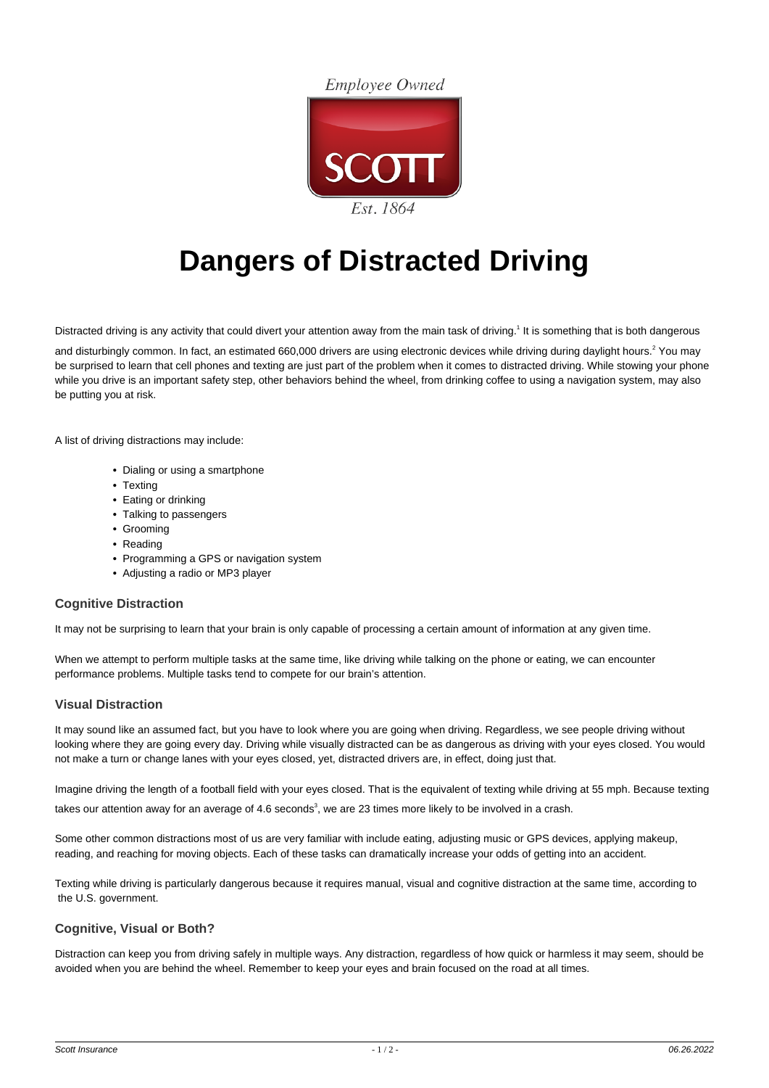**Employee Owned** 



# **Dangers of Distracted Driving**

Distracted driving is any activity that could divert your attention away from the main task of driving.<sup>1</sup> It is something that is both dangerous

and disturbingly common. In fact, an estimated 660,000 drivers are using electronic devices while driving during daylight hours.<sup>2</sup> You may be surprised to learn that cell phones and texting are just part of the problem when it comes to distracted driving. While stowing your phone while you drive is an important safety step, other behaviors behind the wheel, from drinking coffee to using a navigation system, may also be putting you at risk.

A list of driving distractions may include:

- Dialing or using a smartphone
- Texting
- Eating or drinking
- Talking to passengers
- Grooming
- Reading
- Programming a GPS or navigation system
- Adjusting a radio or MP3 player

### **Cognitive Distraction**

It may not be surprising to learn that your brain is only capable of processing a certain amount of information at any given time.

When we attempt to perform multiple tasks at the same time, like driving while talking on the phone or eating, we can encounter performance problems. Multiple tasks tend to compete for our brain's attention.

## **Visual Distraction**

It may sound like an assumed fact, but you have to look where you are going when driving. Regardless, we see people driving without looking where they are going every day. Driving while visually distracted can be as dangerous as driving with your eyes closed. You would not make a turn or change lanes with your eyes closed, yet, distracted drivers are, in effect, doing just that.

Imagine driving the length of a football field with your eyes closed. That is the equivalent of texting while driving at 55 mph. Because texting

takes our attention away for an average of 4.6 seconds<sup>3</sup>, we are 23 times more likely to be involved in a crash.

Some other common distractions most of us are very familiar with include eating, adjusting music or GPS devices, applying makeup, reading, and reaching for moving objects. Each of these tasks can dramatically increase your odds of getting into an accident.

Texting while driving is particularly dangerous because it requires manual, visual and cognitive distraction at the same time, according to the U.S. government.

#### **Cognitive, Visual or Both?**

Distraction can keep you from driving safely in multiple ways. Any distraction, regardless of how quick or harmless it may seem, should be avoided when you are behind the wheel. Remember to keep your eyes and brain focused on the road at all times.